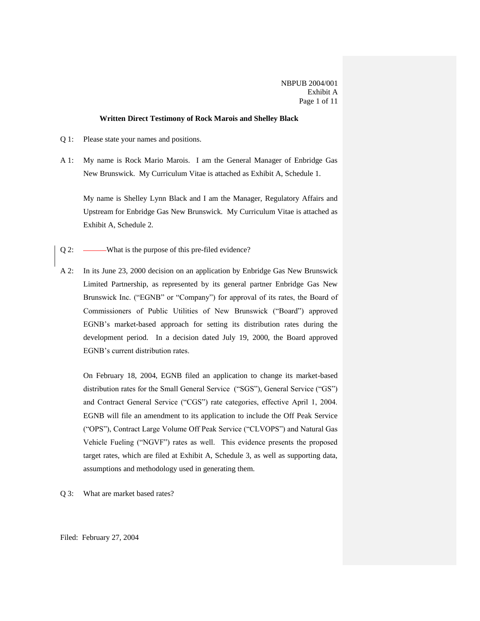## **Written Direct Testimony of Rock Marois and Shelley Black**

- Q 1: Please state your names and positions.
- A 1: My name is Rock Mario Marois. I am the General Manager of Enbridge Gas New Brunswick. My Curriculum Vitae is attached as Exhibit A, Schedule 1.

My name is Shelley Lynn Black and I am the Manager, Regulatory Affairs and Upstream for Enbridge Gas New Brunswick. My Curriculum Vitae is attached as Exhibit A, Schedule 2.

- Q 2: What is the purpose of this pre-filed evidence?
- A 2: In its June 23, 2000 decision on an application by Enbridge Gas New Brunswick Limited Partnership, as represented by its general partner Enbridge Gas New Brunswick Inc. ("EGNB" or "Company") for approval of its rates, the Board of Commissioners of Public Utilities of New Brunswick ("Board") approved EGNB's market-based approach for setting its distribution rates during the development period. In a decision dated July 19, 2000, the Board approved EGNB's current distribution rates.

On February 18, 2004, EGNB filed an application to change its market-based distribution rates for the Small General Service ("SGS"), General Service ("GS") and Contract General Service ("CGS") rate categories, effective April 1, 2004. EGNB will file an amendment to its application to include the Off Peak Service ("OPS"), Contract Large Volume Off Peak Service ("CLVOPS") and Natural Gas Vehicle Fueling ("NGVF") rates as well. This evidence presents the proposed target rates, which are filed at Exhibit A, Schedule 3, as well as supporting data, assumptions and methodology used in generating them.

Q 3: What are market based rates?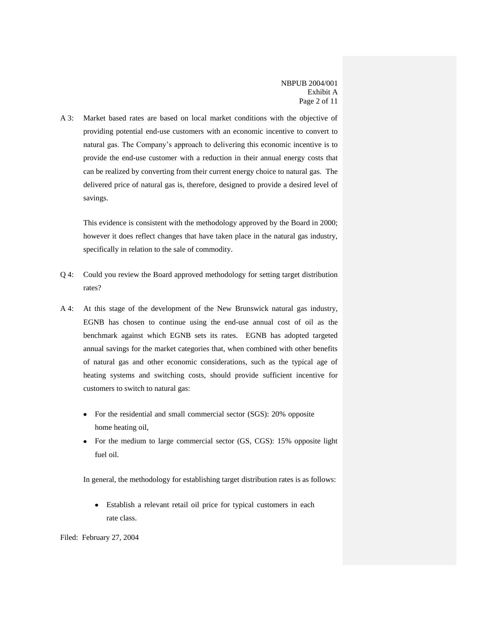A 3: Market based rates are based on local market conditions with the objective of providing potential end-use customers with an economic incentive to convert to natural gas. The Company's approach to delivering this economic incentive is to provide the end-use customer with a reduction in their annual energy costs that can be realized by converting from their current energy choice to natural gas. The delivered price of natural gas is, therefore, designed to provide a desired level of savings.

This evidence is consistent with the methodology approved by the Board in 2000; however it does reflect changes that have taken place in the natural gas industry, specifically in relation to the sale of commodity.

- Q 4: Could you review the Board approved methodology for setting target distribution rates?
- A 4: At this stage of the development of the New Brunswick natural gas industry, EGNB has chosen to continue using the end-use annual cost of oil as the benchmark against which EGNB sets its rates. EGNB has adopted targeted annual savings for the market categories that, when combined with other benefits of natural gas and other economic considerations, such as the typical age of heating systems and switching costs, should provide sufficient incentive for customers to switch to natural gas:
	- For the residential and small commercial sector (SGS): 20% opposite home heating oil,
	- For the medium to large commercial sector (GS, CGS): 15% opposite light  $\bullet$ fuel oil.

In general, the methodology for establishing target distribution rates is as follows:

Establish a relevant retail oil price for typical customers in each rate class.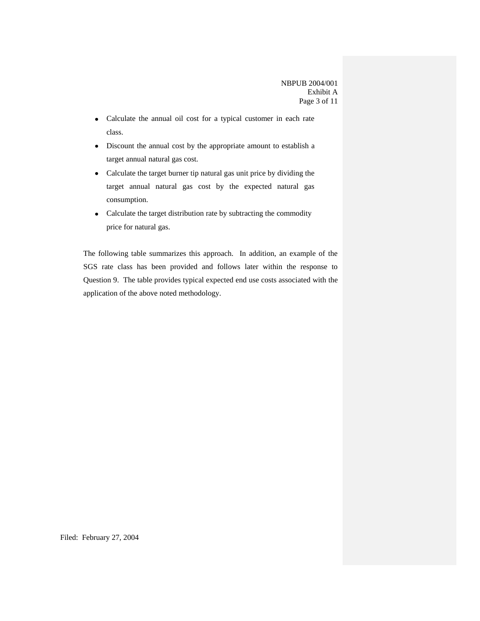NBPUB 2004/001 Exhibit A Page 3 of 11

- Calculate the annual oil cost for a typical customer in each rate class.
- Discount the annual cost by the appropriate amount to establish a target annual natural gas cost.
- Calculate the target burner tip natural gas unit price by dividing the target annual natural gas cost by the expected natural gas consumption.
- Calculate the target distribution rate by subtracting the commodity  $\bullet$ price for natural gas.

The following table summarizes this approach. In addition, an example of the SGS rate class has been provided and follows later within the response to Question 9. The table provides typical expected end use costs associated with the application of the above noted methodology.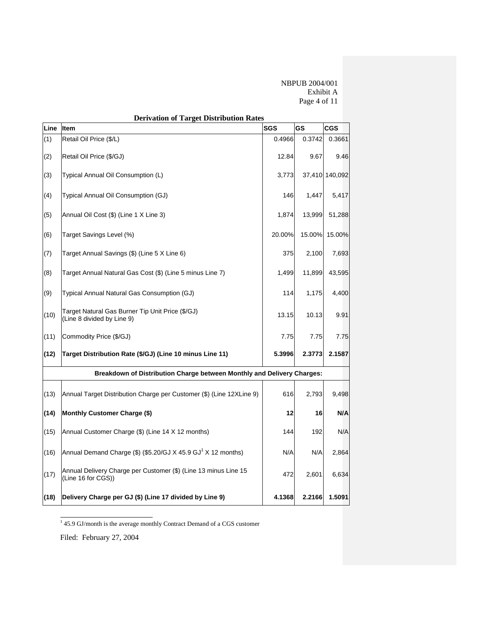NBPUB 2004/001 Exhibit A Page 4 of 11

|      | <b>Derivation of Target Distribution Rates</b>                                        |            |        |                |  |  |
|------|---------------------------------------------------------------------------------------|------------|--------|----------------|--|--|
| Line | <b>Item</b>                                                                           | <b>SGS</b> | GS     | <b>CGS</b>     |  |  |
| (1)  | Retail Oil Price (\$/L)                                                               | 0.4966     | 0.3742 | 0.3661         |  |  |
| (2)  | Retail Oil Price (\$/GJ)                                                              | 12.84      | 9.67   | 9.46           |  |  |
| (3)  | Typical Annual Oil Consumption (L)                                                    | 3,773      |        | 37,410 140,092 |  |  |
| (4)  | Typical Annual Oil Consumption (GJ)                                                   | 146        | 1,447  | 5,417          |  |  |
| (5)  | Annual Oil Cost (\$) (Line 1 X Line 3)                                                | 1,874      | 13,999 | 51,288         |  |  |
| (6)  | Target Savings Level (%)                                                              | 20.00%     | 15.00% | 15.00%         |  |  |
| (7)  | Target Annual Savings (\$) (Line 5 X Line 6)                                          | 375        | 2,100  | 7,693          |  |  |
| (8)  | Target Annual Natural Gas Cost (\$) (Line 5 minus Line 7)                             | 1,499      | 11,899 | 43,595         |  |  |
| (9)  | Typical Annual Natural Gas Consumption (GJ)                                           | 114        | 1,175  | 4,400          |  |  |
| (10) | Target Natural Gas Burner Tip Unit Price (\$/GJ)<br>(Line 8 divided by Line 9)        | 13.15      | 10.13  | 9.91           |  |  |
| (11) | Commodity Price (\$/GJ)                                                               | 7.75       | 7.75   | 7.75           |  |  |
| (12) | Target Distribution Rate (\$/GJ) (Line 10 minus Line 11)                              | 5.3996     | 2.3773 | 2.1587         |  |  |
|      | Breakdown of Distribution Charge between Monthly and Delivery Charges:                |            |        |                |  |  |
| (13) | Annual Target Distribution Charge per Customer (\$) (Line 12XLine 9)                  | 616        | 2,793  | 9,498          |  |  |
| (14) | <b>Monthly Customer Charge (\$)</b>                                                   | 12         | 16     | N/A            |  |  |
| (15) | Annual Customer Charge (\$) (Line 14 X 12 months)                                     | 144        | 192    | N/A            |  |  |
| (16) | Annual Demand Charge (\$) (\$5.20/GJ X 45.9 GJ $^1$ X 12 months)                      | N/A        | N/A    | 2,864          |  |  |
| (17) | Annual Delivery Charge per Customer (\$) (Line 13 minus Line 15<br>(Line 16 for CGS)) | 472        | 2,601  | 6,634          |  |  |
| (18) | Delivery Charge per GJ (\$) (Line 17 divided by Line 9)                               | 4.1368     | 2.2166 | 1.5091         |  |  |

1 45.9 GJ/month is the average monthly Contract Demand of a CGS customer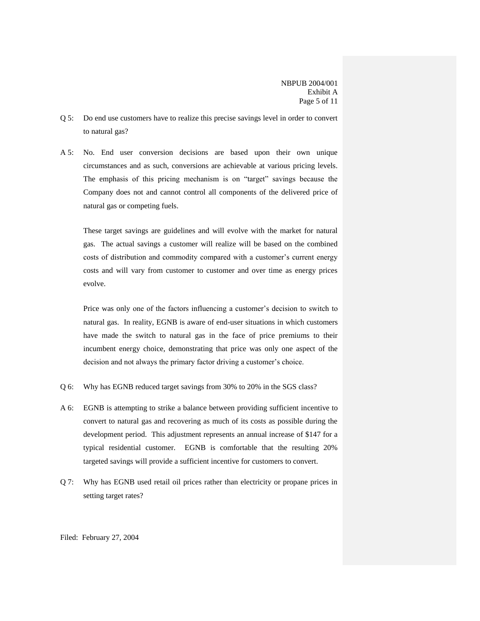- Q 5: Do end use customers have to realize this precise savings level in order to convert to natural gas?
- A 5: No. End user conversion decisions are based upon their own unique circumstances and as such, conversions are achievable at various pricing levels. The emphasis of this pricing mechanism is on "target" savings because the Company does not and cannot control all components of the delivered price of natural gas or competing fuels.

These target savings are guidelines and will evolve with the market for natural gas. The actual savings a customer will realize will be based on the combined costs of distribution and commodity compared with a customer's current energy costs and will vary from customer to customer and over time as energy prices evolve.

Price was only one of the factors influencing a customer's decision to switch to natural gas. In reality, EGNB is aware of end-user situations in which customers have made the switch to natural gas in the face of price premiums to their incumbent energy choice, demonstrating that price was only one aspect of the decision and not always the primary factor driving a customer's choice.

- Q 6: Why has EGNB reduced target savings from 30% to 20% in the SGS class?
- A 6: EGNB is attempting to strike a balance between providing sufficient incentive to convert to natural gas and recovering as much of its costs as possible during the development period. This adjustment represents an annual increase of \$147 for a typical residential customer. EGNB is comfortable that the resulting 20% targeted savings will provide a sufficient incentive for customers to convert.
- Q 7: Why has EGNB used retail oil prices rather than electricity or propane prices in setting target rates?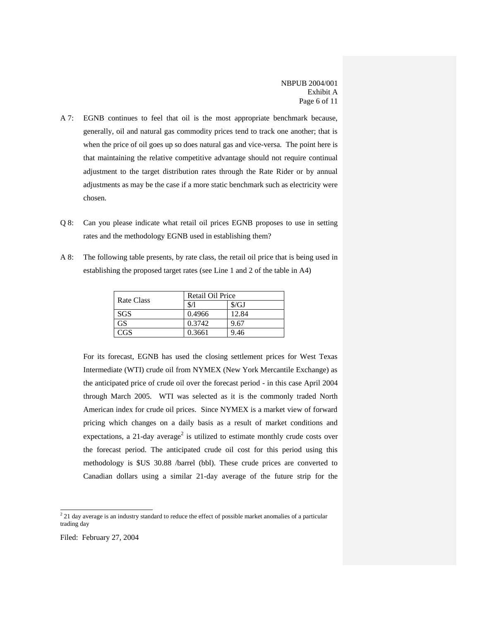- A 7: EGNB continues to feel that oil is the most appropriate benchmark because, generally, oil and natural gas commodity prices tend to track one another; that is when the price of oil goes up so does natural gas and vice-versa. The point here is that maintaining the relative competitive advantage should not require continual adjustment to the target distribution rates through the Rate Rider or by annual adjustments as may be the case if a more static benchmark such as electricity were chosen.
- Q 8: Can you please indicate what retail oil prices EGNB proposes to use in setting rates and the methodology EGNB used in establishing them?
- A 8: The following table presents, by rate class, the retail oil price that is being used in establishing the proposed target rates (see Line 1 and 2 of the table in A4)

|            | Retail Oil Price |              |  |  |  |
|------------|------------------|--------------|--|--|--|
| Rate Class | \$/1             | $\sqrt{$GJ}$ |  |  |  |
| SGS        | 0.4966           | 12.84        |  |  |  |
| GS.        | 0.3742           | 9.67         |  |  |  |
| CGS        | 0.3661           | 9.46         |  |  |  |

For its forecast, EGNB has used the closing settlement prices for West Texas Intermediate (WTI) crude oil from NYMEX (New York Mercantile Exchange) as the anticipated price of crude oil over the forecast period - in this case April 2004 through March 2005. WTI was selected as it is the commonly traded North American index for crude oil prices. Since NYMEX is a market view of forward pricing which changes on a daily basis as a result of market conditions and expectations, a 21-day average<sup>2</sup> is utilized to estimate monthly crude costs over the forecast period. The anticipated crude oil cost for this period using this methodology is \$US 30.88 /barrel (bbl). These crude prices are converted to Canadian dollars using a similar 21-day average of the future strip for the

<sup>&</sup>lt;sup>2</sup> 21 day average is an industry standard to reduce the effect of possible market anomalies of a particular trading day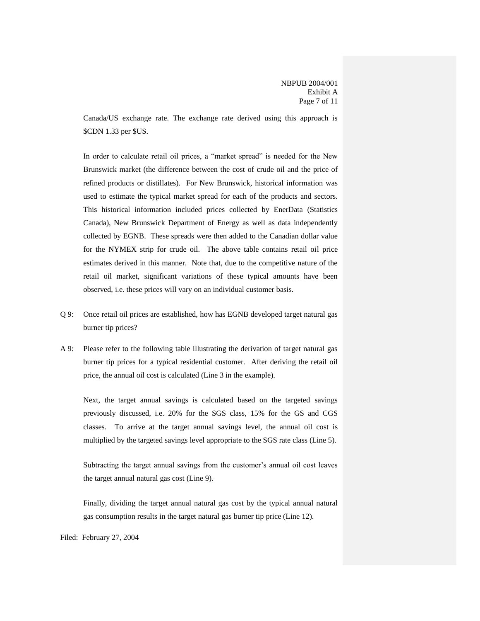Canada/US exchange rate. The exchange rate derived using this approach is \$CDN 1.33 per \$US.

In order to calculate retail oil prices, a "market spread" is needed for the New Brunswick market (the difference between the cost of crude oil and the price of refined products or distillates). For New Brunswick, historical information was used to estimate the typical market spread for each of the products and sectors. This historical information included prices collected by EnerData (Statistics Canada), New Brunswick Department of Energy as well as data independently collected by EGNB. These spreads were then added to the Canadian dollar value for the NYMEX strip for crude oil. The above table contains retail oil price estimates derived in this manner. Note that, due to the competitive nature of the retail oil market, significant variations of these typical amounts have been observed, i.e. these prices will vary on an individual customer basis.

- Q 9: Once retail oil prices are established, how has EGNB developed target natural gas burner tip prices?
- A 9: Please refer to the following table illustrating the derivation of target natural gas burner tip prices for a typical residential customer. After deriving the retail oil price, the annual oil cost is calculated (Line 3 in the example).

Next, the target annual savings is calculated based on the targeted savings previously discussed, i.e. 20% for the SGS class, 15% for the GS and CGS classes. To arrive at the target annual savings level, the annual oil cost is multiplied by the targeted savings level appropriate to the SGS rate class (Line 5).

Subtracting the target annual savings from the customer's annual oil cost leaves the target annual natural gas cost (Line 9).

Finally, dividing the target annual natural gas cost by the typical annual natural gas consumption results in the target natural gas burner tip price (Line 12).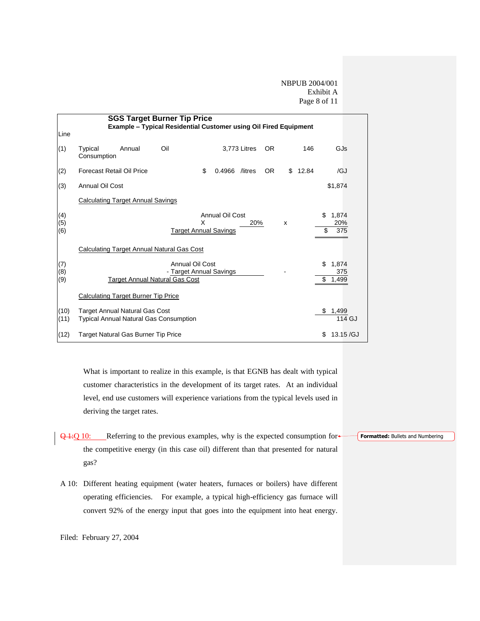NBPUB 2004/001 Exhibit A Page 8 of 11

|                   |                                                                                        | <b>SGS Target Burner Tip Price</b><br><b>Example - Typical Residential Customer using Oil Fired Equipment</b> |                 |                                                 |              |     |    |       |           |                       |
|-------------------|----------------------------------------------------------------------------------------|---------------------------------------------------------------------------------------------------------------|-----------------|-------------------------------------------------|--------------|-----|----|-------|-----------|-----------------------|
| Line              |                                                                                        |                                                                                                               |                 |                                                 |              |     |    |       |           |                       |
| (1)               | Typical<br>Annual<br>Consumption                                                       | Oil                                                                                                           |                 |                                                 | 3,773 Litres | OR. |    | 146   |           | GJs                   |
| (2)               | <b>Forecast Retail Oil Price</b>                                                       |                                                                                                               | \$              | 0.4966                                          | /litres      | OR. | \$ | 12.84 |           | /GJ                   |
| (3)               | Annual Oil Cost                                                                        |                                                                                                               |                 |                                                 |              |     |    |       |           | \$1,874               |
|                   | <b>Calculating Target Annual Savings</b>                                               |                                                                                                               |                 |                                                 |              |     |    |       |           |                       |
| (4)<br>(5)<br>(6) |                                                                                        |                                                                                                               | X               | Annual Oil Cost<br><b>Target Annual Savings</b> | 20%          |     | x  |       | \$<br>\$  | 1,874<br>20%<br>375   |
|                   | <b>Calculating Target Annual Natural Gas Cost</b>                                      |                                                                                                               |                 |                                                 |              |     |    |       |           |                       |
| (7)<br>(8)<br>(9) |                                                                                        | <b>Target Annual Natural Gas Cost</b>                                                                         | Annual Oil Cost | - Target Annual Savings                         |              |     |    |       | \$.<br>\$ | 1.874<br>375<br>1,499 |
|                   | <b>Calculating Target Burner Tip Price</b>                                             |                                                                                                               |                 |                                                 |              |     |    |       |           |                       |
| (10)<br>(11)      | <b>Target Annual Natural Gas Cost</b><br><b>Typical Annual Natural Gas Consumption</b> |                                                                                                               |                 |                                                 |              |     |    |       | \$        | 1,499<br>114 GJ       |
| (12)              | Target Natural Gas Burner Tip Price                                                    |                                                                                                               |                 |                                                 |              |     |    |       | \$        | 13.15/GJ              |

What is important to realize in this example, is that EGNB has dealt with typical customer characteristics in the development of its target rates. At an individual level, end use customers will experience variations from the typical levels used in deriving the target rates.

- $Q + Q$  10: Referring to the previous examples, why is the expected consumption for the competitive energy (in this case oil) different than that presented for natural gas?
- A 10: Different heating equipment (water heaters, furnaces or boilers) have different operating efficiencies. For example, a typical high-efficiency gas furnace will convert 92% of the energy input that goes into the equipment into heat energy.

## **Formatted:** Bullets and Numbering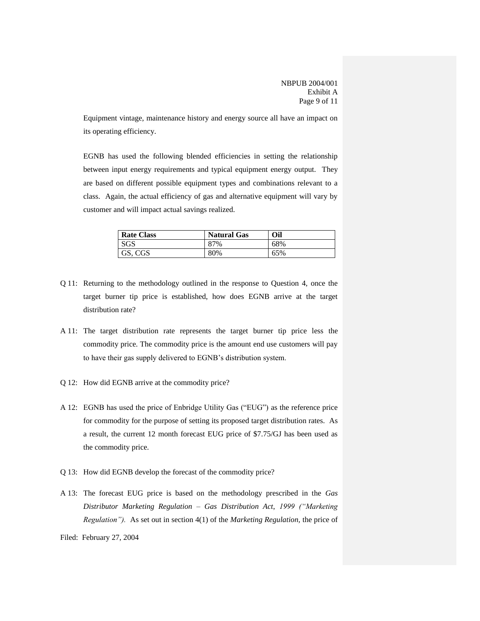Equipment vintage, maintenance history and energy source all have an impact on its operating efficiency.

EGNB has used the following blended efficiencies in setting the relationship between input energy requirements and typical equipment energy output. They are based on different possible equipment types and combinations relevant to a class. Again, the actual efficiency of gas and alternative equipment will vary by customer and will impact actual savings realized.

| <b>Rate Class</b> | <b>Natural Gas</b> | Oil |
|-------------------|--------------------|-----|
| <b>SGS</b>        | 87%                | 68% |
| GS, CGS           | 80%                | 65% |

- Q 11: Returning to the methodology outlined in the response to Question 4, once the target burner tip price is established, how does EGNB arrive at the target distribution rate?
- A 11: The target distribution rate represents the target burner tip price less the commodity price. The commodity price is the amount end use customers will pay to have their gas supply delivered to EGNB's distribution system.
- Q 12: How did EGNB arrive at the commodity price?
- A 12: EGNB has used the price of Enbridge Utility Gas ("EUG") as the reference price for commodity for the purpose of setting its proposed target distribution rates. As a result, the current 12 month forecast EUG price of \$7.75/GJ has been used as the commodity price.
- Q 13: How did EGNB develop the forecast of the commodity price?
- A 13: The forecast EUG price is based on the methodology prescribed in the *Gas Distributor Marketing Regulation – Gas Distribution Act*, *1999 ("Marketing Regulation").* As set out in section 4(1) of the *Marketing Regulation,* the price of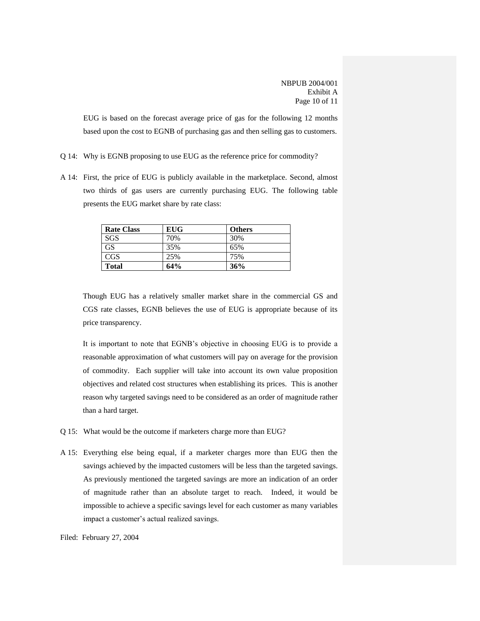NBPUB 2004/001 Exhibit A Page 10 of 11

EUG is based on the forecast average price of gas for the following 12 months based upon the cost to EGNB of purchasing gas and then selling gas to customers.

- Q 14: Why is EGNB proposing to use EUG as the reference price for commodity?
- A 14: First, the price of EUG is publicly available in the marketplace. Second, almost two thirds of gas users are currently purchasing EUG. The following table presents the EUG market share by rate class:

| <b>Rate Class</b> | <b>EUG</b> | <b>Others</b> |
|-------------------|------------|---------------|
| SGS               | 70%        | 30%           |
| <b>GS</b>         | 35%        | 65%           |
| <b>CGS</b>        | 25%        | 75%           |
| <b>Total</b>      | 64%        | 36%           |

Though EUG has a relatively smaller market share in the commercial GS and CGS rate classes, EGNB believes the use of EUG is appropriate because of its price transparency.

It is important to note that EGNB's objective in choosing EUG is to provide a reasonable approximation of what customers will pay on average for the provision of commodity. Each supplier will take into account its own value proposition objectives and related cost structures when establishing its prices. This is another reason why targeted savings need to be considered as an order of magnitude rather than a hard target.

- Q 15: What would be the outcome if marketers charge more than EUG?
- A 15: Everything else being equal, if a marketer charges more than EUG then the savings achieved by the impacted customers will be less than the targeted savings. As previously mentioned the targeted savings are more an indication of an order of magnitude rather than an absolute target to reach. Indeed, it would be impossible to achieve a specific savings level for each customer as many variables impact a customer's actual realized savings.